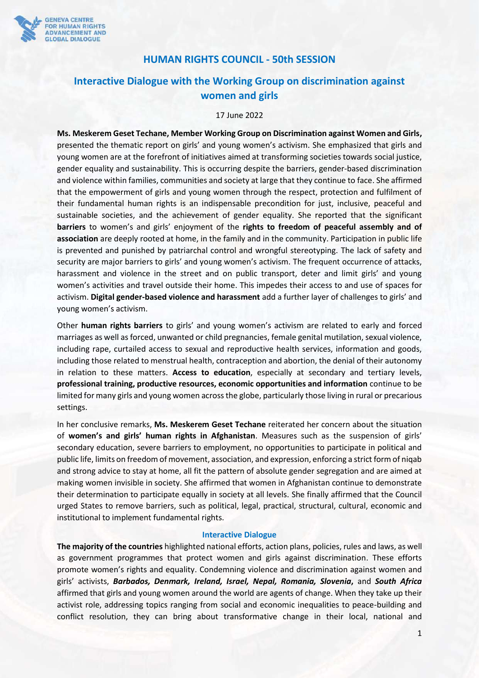

# **HUMAN RIGHTS COUNCIL - 50th SESSION**

# **Interactive Dialogue with the Working Group on discrimination against women and girls**

#### 17 June 2022

**Ms. Meskerem Geset Techane, Member Working Group on Discrimination against Women and Girls,**  presented the thematic report on girls' and young women's activism. She emphasized that girls and young women are at the forefront of initiatives aimed at transforming societies towards social justice, gender equality and sustainability. This is occurring despite the barriers, gender-based discrimination and violence within families, communities and society at large that they continue to face. She affirmed that the empowerment of girls and young women through the respect, protection and fulfilment of their fundamental human rights is an indispensable precondition for just, inclusive, peaceful and sustainable societies, and the achievement of gender equality. She reported that the significant **barriers** to women's and girls' enjoyment of the **rights to freedom of peaceful assembly and of association** are deeply rooted at home, in the family and in the community. Participation in public life is prevented and punished by patriarchal control and wrongful stereotyping. The lack of safety and security are major barriers to girls' and young women's activism. The frequent occurrence of attacks, harassment and violence in the street and on public transport, deter and limit girls' and young women's activities and travel outside their home. This impedes their access to and use of spaces for activism. **Digital gender-based violence and harassment** add a further layer of challenges to girls' and young women's activism.

Other **human rights barriers** to girls' and young women's activism are related to early and forced marriages as well as forced, unwanted or child pregnancies, female genital mutilation, sexual violence, including rape, curtailed access to sexual and reproductive health services, information and goods, including those related to menstrual health, contraception and abortion, the denial of their autonomy in relation to these matters. **Access to education**, especially at secondary and tertiary levels, **professional training, productive resources, economic opportunities and information** continue to be limited for many girls and young women across the globe, particularly those living in rural or precarious settings.

In her conclusive remarks, **Ms. Meskerem Geset Techane** reiterated her concern about the situation of **women's and girls' human rights in Afghanistan**. Measures such as the suspension of girls' secondary education, severe barriers to employment, no opportunities to participate in political and public life, limits on freedom of movement, association, and expression, enforcing a strict form of niqab and strong advice to stay at home, all fit the pattern of absolute gender segregation and are aimed at making women invisible in society. She affirmed that women in Afghanistan continue to demonstrate their determination to participate equally in society at all levels. She finally affirmed that the Council urged States to remove barriers, such as political, legal, practical, structural, cultural, economic and institutional to implement fundamental rights.

## **Interactive Dialogue**

**The majority of the countries** highlighted national efforts, action plans, policies, rules and laws, as well as government programmes that protect women and girls against discrimination. These efforts promote women's rights and equality. Condemning violence and discrimination against women and girls' activists, *Barbados, Denmark, Ireland, Israel, Nepal, Romania, Slovenia***,** and *South Africa* affirmed that girls and young women around the world are agents of change. When they take up their activist role, addressing topics ranging from social and economic inequalities to peace-building and conflict resolution, they can bring about transformative change in their local, national and